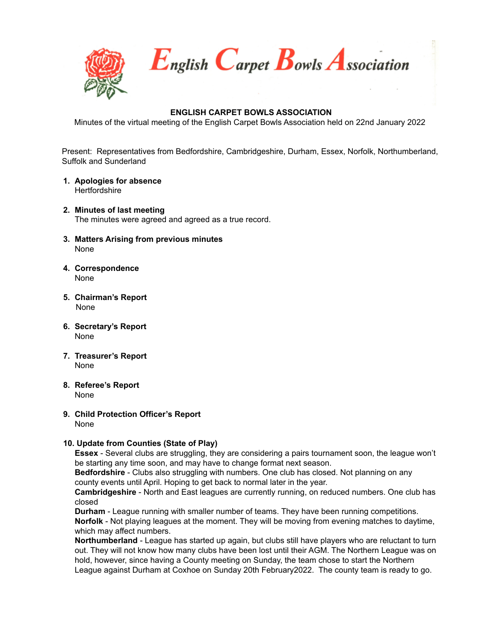

English Carpet Bowls Association

# **ENGLISH CARPET BOWLS ASSOCIATION**

Minutes of the virtual meeting of the English Carpet Bowls Association held on 22nd January 2022

Present: Representatives from Bedfordshire, Cambridgeshire, Durham, Essex, Norfolk, Northumberland, Suffolk and Sunderland

- **1. Apologies for absence Hertfordshire**
- **2. Minutes of last meeting** The minutes were agreed and agreed as a true record.
- **3. Matters Arising from previous minutes** None
- **4. Correspondence** None
- **5. Chairman's Report** None
- **6. Secretary's Report** None
- **7. Treasurer's Report** None
- **8. Referee's Report** None
- **9. Child Protection Officer's Report** None

# **10. Update from Counties (State of Play)**

**Essex** - Several clubs are struggling, they are considering a pairs tournament soon, the league won't be starting any time soon, and may have to change format next season.

**Bedfordshire** - Clubs also struggling with numbers. One club has closed. Not planning on any county events until April. Hoping to get back to normal later in the year.

**Cambridgeshire** - North and East leagues are currently running, on reduced numbers. One club has closed

**Durham** - League running with smaller number of teams. They have been running competitions. **Norfolk** - Not playing leagues at the moment. They will be moving from evening matches to daytime, which may affect numbers.

**Northumberland** - League has started up again, but clubs still have players who are reluctant to turn out. They will not know how many clubs have been lost until their AGM. The Northern League was on hold, however, since having a County meeting on Sunday, the team chose to start the Northern League against Durham at Coxhoe on Sunday 20th February2022. The county team is ready to go.